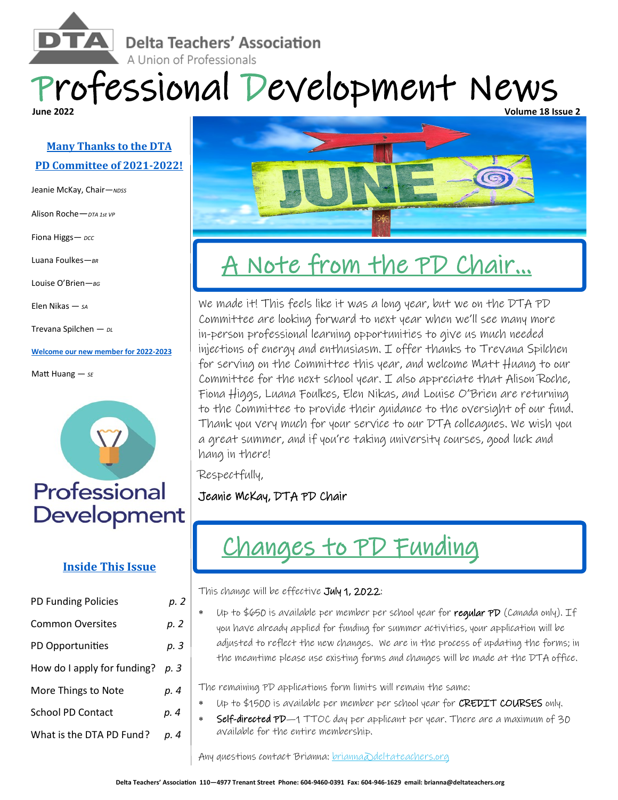**Delta Teachers' Association** A Union of Professionals

### Professional Development News **Volume 18 Issue 2**

### **Many Thanks to the DTA PD Committee of 2021-2022!**

Jeanie McKay, Chair—*NDSS*

Alison Roche—*DTA 1st VP*

Fiona Higgs- *DCC* 

Luana Foulkes—*BR*

Louise O'Brien—*BG*

Elen Nikas — *SA*

Trevana Spilchen — *DL*

**Welcome our new member for 2022-2023**

Matt Huang — *SE*



### **Inside This Issue**

| PD Funding Policies         | p. 2 |
|-----------------------------|------|
| <b>Common Oversites</b>     | p. 2 |
| PD Opportunities            | p. 3 |
| How do I apply for funding? | р. З |
| More Things to Note         | р. 4 |
| <b>School PD Contact</b>    | p. 4 |
| What is the DTA PD Fund?    | р. 4 |



## A Note from the PD Chair...

We made it! This feels like it was a long year, but we on the DTA PD Committee are looking forward to next year when we'll see many more in-person professional learning opportunities to give us much needed injections of energy and enthusiasm. I offer thanks to Trevana Spilchen for serving on the Committee this year, and welcome Matt Huang to our Committee for the next school year. I also appreciate that Alison Roche, Fiona Higgs, Luana Foulkes, Elen Nikas, and Louise O'Brien are returning to the Committee to provide their guidance to the oversight of our fund. Thank you very much for your service to our DTA colleagues. We wish you a great summer, and if you're taking university courses, good luck and hang in there!

Respectfully,

Jeanie McKay, DTA PD Chair



This change will be effective July 1, 2022:

Up to  $6650$  is available per member per school year for regular PD (Canada only). If you have already applied for funding for summer activities, your application will be adjusted to reflect the new changes. We are in the process of updating the forms; in the meantime please use existing forms and changes will be made at the DTA office.

The remaining PD applications form limits will remain the same:

- Up to \$1500 is available per member per school year for CREDIT COURSES only.
- Self-directed PD-1 TTOC day per applicant per year. There are a maximum of 30 available for the entire membership.

Any questions contact Brianna: *brianna*@deltateachers.org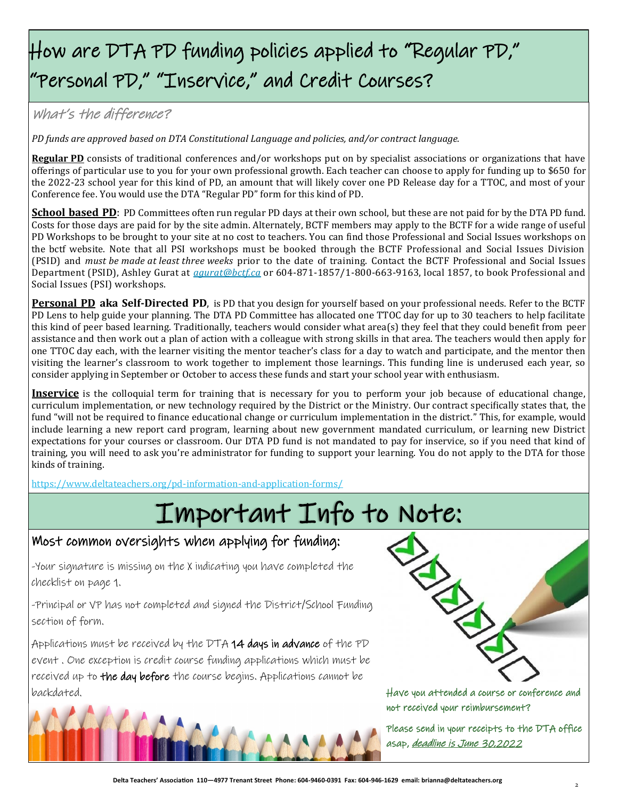### How are DTA PD funding policies applied to "Regular PD," "Personal PD," "Inservice," and Credit Courses?

### What's the difference?

*PD funds are approved based on DTA Constitutional Language and policies, and/or contract language.* 

**Regular PD** consists of traditional conferences and/or workshops put on by specialist associations or organizations that have offerings of particular use to you for your own professional growth. Each teacher can choose to apply for funding up to \$650 for the 2022-23 school year for this kind of PD, an amount that will likely cover one PD Release day for a TTOC, and most of your Conference fee. You would use the DTA "Regular PD" form for this kind of PD.

**School based PD**: PD Committees often run regular PD days at their own school, but these are not paid for by the DTA PD fund. Costs for those days are paid for by the site admin. Alternately, BCTF members may apply to the BCTF for a wide range of useful PD Workshops to be brought to your site at no cost to teachers. You can find those Professional and Social Issues workshops on the bctf website. Note that all PSI workshops must be booked through the BCTF Professional and Social Issues Division (PSID) and *must be made at least three weeks* prior to the date of training. Contact the BCTF Professional and Social Issues Department (PSID), Ashley Gurat at *[agurat@bctf.ca](mailto:agurat@bctf.ca)* or 604-871-1857/1-800-663-9163, local 1857, to book Professional and Social Issues (PSI) workshops.

**Personal PD aka Self-Directed PD**, is PD that you design for yourself based on your professional needs. Refer to the BCTF PD Lens to help guide your planning. The DTA PD Committee has allocated one TTOC day for up to 30 teachers to help facilitate this kind of peer based learning. Traditionally, teachers would consider what area(s) they feel that they could benefit from peer assistance and then work out a plan of action with a colleague with strong skills in that area. The teachers would then apply for one TTOC day each, with the learner visiting the mentor teacher's class for a day to watch and participate, and the mentor then visiting the learner's classroom to work together to implement those learnings. This funding line is underused each year, so consider applying in September or October to access these funds and start your school year with enthusiasm.

**Inservice** is the colloquial term for training that is necessary for you to perform your job because of educational change, curriculum implementation, or new technology required by the District or the Ministry. Our contract specifically states that, the fund "will not be required to finance educational change or curriculum implementation in the district." This, for example, would include learning a new report card program, learning about new government mandated curriculum, or learning new District expectations for your courses or classroom. Our DTA PD fund is not mandated to pay for inservice, so if you need that kind of training, you will need to ask you're administrator for funding to support your learning. You do not apply to the DTA for those kinds of training.

[https://www.deltateachers.org/pd](https://www.deltateachers.org/pd-information-and-application-forms/)-information-and-application-forms/

## Important Info to Note:

### Most common oversights when applying for funding:

-Your signature is missing on the X indicating you have completed the checklist on page 1.

-Principal or VP has not completed and signed the District/School Funding section of form.

Applications must be received by the DTA 14 days in advance of the PD event . One exception is credit course funding applications which must be received up to the day before the course begins. Applications cannot be backdated.





Have you attended a course or conference and not received your reimbursement?

Please send in your receipts to the DTA office asap, *deadline is June 30.2022*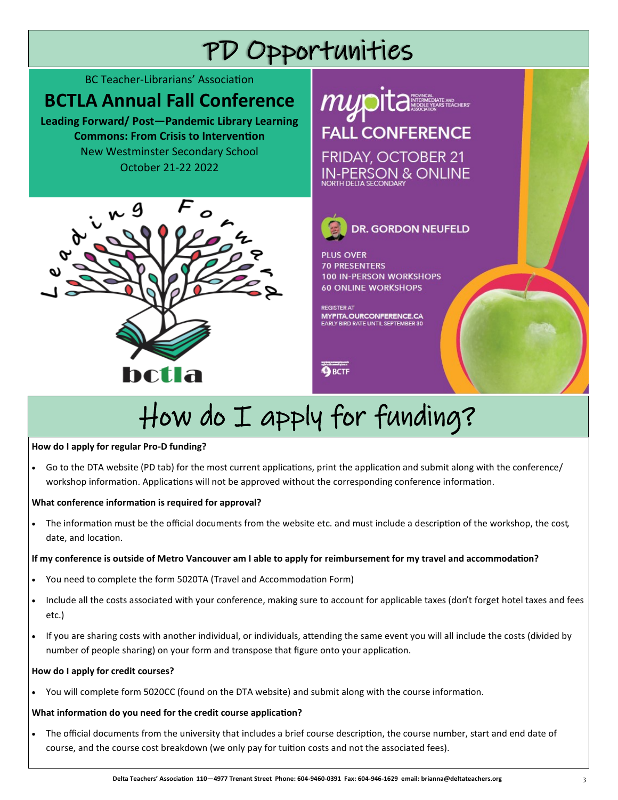# PD Opportunities

BC Teacher-Librarians' Association

### **BCTLA Annual Fall Conference**

**Leading Forward/ Post—Pandemic Library Learning Commons: From Crisis to Intervention** New Westminster Secondary School October 21-22 2022





**O**BCTF

# How do I apply for funding?

#### **How do I apply for regular Pro-D funding?**

• Go to the DTA website (PD tab) for the most current applications, print the application and submit along with the conference/ workshop information. Applications will not be approved without the corresponding conference information.

#### **What conference information is required for approval?**

• The information must be the official documents from the website etc. and must include a description of the workshop, the cost, date, and location.

#### **If my conference is outside of Metro Vancouver am I able to apply for reimbursement for my travel and accommodation?**

- You need to complete the form 5020TA (Travel and Accommodation Form)
- Include all the costs associated with your conference, making sure to account for applicable taxes (don't forget hotel taxes and fees etc.)
- If you are sharing costs with another individual, or individuals, attending the same event you will all include the costs (divided by number of people sharing) on your form and transpose that figure onto your application.

#### **How do I apply for credit courses?**

• You will complete form 5020CC (found on the DTA website) and submit along with the course information.

### **What information do you need for the credit course application?**

• The official documents from the university that includes a brief course description, the course number, start and end date of course, and the course cost breakdown (we only pay for tuition costs and not the associated fees).